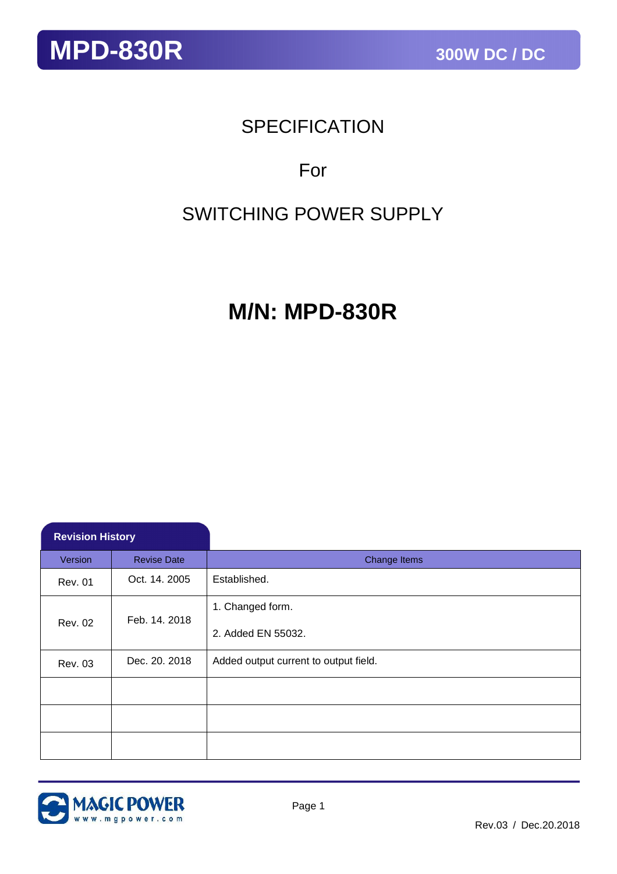## **SPECIFICATION**

## For

## SWITCHING POWER SUPPLY

## **M/N: MPD-830R**

| <b>Revision History</b> |                    |                                        |  |
|-------------------------|--------------------|----------------------------------------|--|
| Version                 | <b>Revise Date</b> | Change Items                           |  |
| <b>Rev. 01</b>          | Oct. 14. 2005      | Established.                           |  |
| <b>Rev. 02</b>          | Feb. 14. 2018      | 1. Changed form.<br>2. Added EN 55032. |  |
| <b>Rev. 03</b>          | Dec. 20. 2018      | Added output current to output field.  |  |
|                         |                    |                                        |  |
|                         |                    |                                        |  |
|                         |                    |                                        |  |

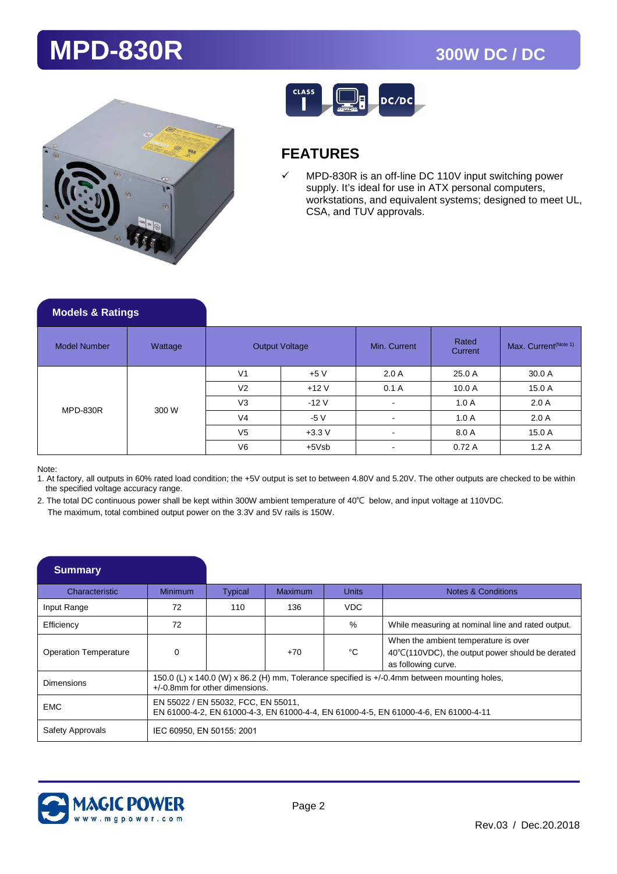



## **FEATURES**

 $\checkmark$  MPD-830R is an off-line DC 110V input switching power supply. It's ideal for use in ATX personal computers, workstations, and equivalent systems; designed to meet UL, CSA, and TUV approvals.

| <b>Models &amp; Ratings</b> |         |                |                       |                |                                                                             |                                  |
|-----------------------------|---------|----------------|-----------------------|----------------|-----------------------------------------------------------------------------|----------------------------------|
| <b>Model Number</b>         | Wattage |                | <b>Output Voltage</b> | Min. Current   | Rated<br>Current                                                            | Max. Current <sup>(Note 1)</sup> |
|                             |         | V <sub>1</sub> | $+5V$                 | 2.0A           | 25.0 A                                                                      | 30.0 A                           |
|                             |         | V <sub>2</sub> | $+12V$                | 0.1A           | 10.0A                                                                       | 15.0 A                           |
| <b>MPD-830R</b>             | 300 W   | V <sub>3</sub> | $-12V$                | $\blacksquare$ | 2.0A<br>1.0A<br>1.0A<br>2.0A<br>$\overline{\phantom{a}}$<br>8.0 A<br>15.0 A |                                  |
|                             |         | V <sub>4</sub> | $-5V$                 |                |                                                                             |                                  |
|                             |         | V <sub>5</sub> | $+3.3V$               |                |                                                                             |                                  |
|                             |         | V <sub>6</sub> | $+5Vsb$               |                | 0.72A                                                                       | 1.2A                             |

Note:

1. At factory, all outputs in 60% rated load condition; the +5V output is set to between 4.80V and 5.20V. The other outputs are checked to be within the specified voltage accuracy range.

2. The total DC continuous power shall be kept within 300W ambient temperature of 40℃ below, and input voltage at 110VDC. The maximum, total combined output power on the 3.3V and 5V rails is 150W.

| <b>Summary</b>               |                           |                                                                                                                                   |                                                                                                                            |              |                                                                                                                 |  |  |
|------------------------------|---------------------------|-----------------------------------------------------------------------------------------------------------------------------------|----------------------------------------------------------------------------------------------------------------------------|--------------|-----------------------------------------------------------------------------------------------------------------|--|--|
| Characteristic               | <b>Minimum</b>            | <b>Typical</b>                                                                                                                    | <b>Maximum</b>                                                                                                             | <b>Units</b> | Notes & Conditions                                                                                              |  |  |
| Input Range                  | 72                        | 110                                                                                                                               | 136                                                                                                                        | VDC          |                                                                                                                 |  |  |
| Efficiency                   | 72                        |                                                                                                                                   |                                                                                                                            | %            | While measuring at nominal line and rated output.                                                               |  |  |
| <b>Operation Temperature</b> | $\Omega$                  |                                                                                                                                   | $+70$                                                                                                                      | °C           | When the ambient temperature is over<br>40°C(110VDC), the output power should be derated<br>as following curve. |  |  |
| <b>Dimensions</b>            |                           | 150.0 (L) x 140.0 (W) x 86.2 (H) mm, Tolerance specified is +/-0.4mm between mounting holes,<br>$+/-0.8$ mm for other dimensions. |                                                                                                                            |              |                                                                                                                 |  |  |
| <b>EMC</b>                   |                           |                                                                                                                                   | EN 55022 / EN 55032, FCC, EN 55011,<br>EN 61000-4-2, EN 61000-4-3, EN 61000-4-4, EN 61000-4-5, EN 61000-4-6, EN 61000-4-11 |              |                                                                                                                 |  |  |
| Safety Approvals             | IEC 60950, EN 50155: 2001 |                                                                                                                                   |                                                                                                                            |              |                                                                                                                 |  |  |

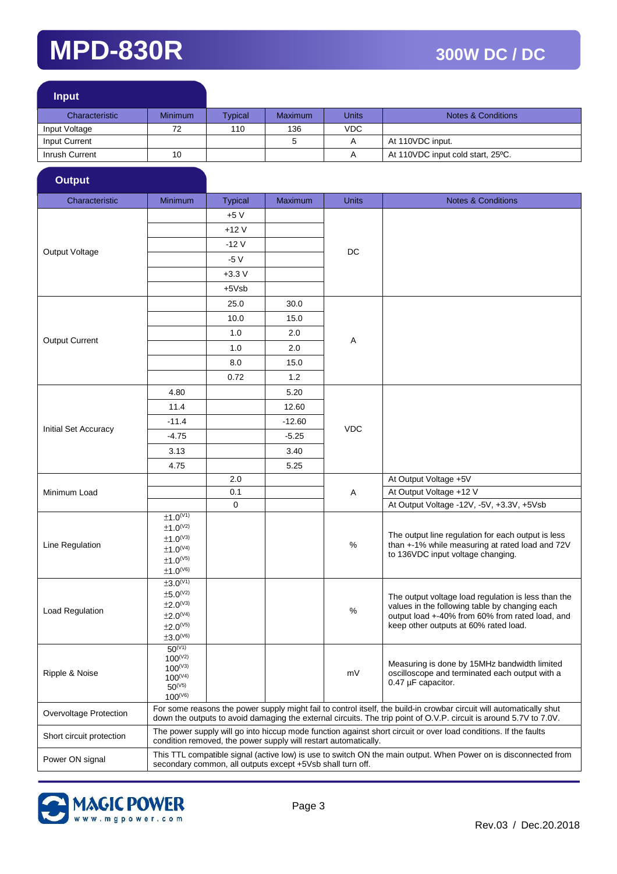| <b>Input</b>   |                |         |                |              |                                   |
|----------------|----------------|---------|----------------|--------------|-----------------------------------|
| Characteristic | <b>Minimum</b> | Typical | <b>Maximum</b> | <b>Units</b> | <b>Notes &amp; Conditions</b>     |
| Input Voltage  | 72             | 110     | 136            | VDC.         |                                   |
| Input Current  |                |         |                | Α            | At 110VDC input.                  |
| Inrush Current | 10             |         |                | А            | At 110VDC input cold start, 25°C. |
|                |                |         |                |              |                                   |

| Characteristic           | <b>Minimum</b>                                                                                                                                                                                                                                                                                                                                                                                                                                                                                                                                                                                                                                                                                                                                                                                                                                                                                                                                                                                                                                                                                                                                                                                                                                                                                                                                                                                                                                                                                                                              | <b>Typical</b> | Maximum | <b>Units</b>                                                                                                                                                                                                                                                                                                                                                                                                      | <b>Notes &amp; Conditions</b> |
|--------------------------|---------------------------------------------------------------------------------------------------------------------------------------------------------------------------------------------------------------------------------------------------------------------------------------------------------------------------------------------------------------------------------------------------------------------------------------------------------------------------------------------------------------------------------------------------------------------------------------------------------------------------------------------------------------------------------------------------------------------------------------------------------------------------------------------------------------------------------------------------------------------------------------------------------------------------------------------------------------------------------------------------------------------------------------------------------------------------------------------------------------------------------------------------------------------------------------------------------------------------------------------------------------------------------------------------------------------------------------------------------------------------------------------------------------------------------------------------------------------------------------------------------------------------------------------|----------------|---------|-------------------------------------------------------------------------------------------------------------------------------------------------------------------------------------------------------------------------------------------------------------------------------------------------------------------------------------------------------------------------------------------------------------------|-------------------------------|
|                          |                                                                                                                                                                                                                                                                                                                                                                                                                                                                                                                                                                                                                                                                                                                                                                                                                                                                                                                                                                                                                                                                                                                                                                                                                                                                                                                                                                                                                                                                                                                                             | $+5V$          |         |                                                                                                                                                                                                                                                                                                                                                                                                                   |                               |
|                          |                                                                                                                                                                                                                                                                                                                                                                                                                                                                                                                                                                                                                                                                                                                                                                                                                                                                                                                                                                                                                                                                                                                                                                                                                                                                                                                                                                                                                                                                                                                                             | $+12V$         |         |                                                                                                                                                                                                                                                                                                                                                                                                                   |                               |
|                          | <b>Output</b><br>$-12V$<br>DC<br>Output Voltage<br>$-5V$<br>$+3.3 V$<br>$+5Vsb$<br>25.0<br>30.0<br>10.0<br>15.0<br>1.0<br>2.0<br><b>Output Current</b><br>Α<br>1.0<br>2.0<br>8.0<br>15.0<br>0.72<br>1.2<br>4.80<br>5.20<br>11.4<br>12.60<br>$-11.4$<br>$-12.60$<br><b>VDC</b><br>$-4.75$<br>$-5.25$<br>3.40<br>3.13<br>4.75<br>5.25<br>At Output Voltage +5V<br>2.0<br>0.1<br>At Output Voltage +12 V<br>Α<br>$\mathbf 0$<br>±1.0 <sup>(V1)</sup><br>$±1.0^{(V2)}$<br>$±1.0^{(V3)}$<br>%<br>Line Regulation<br>$±1.0^{(V4)}$<br>to 136VDC input voltage changing.<br>$±1.0^{(V5)}$<br>$\pm 1.0^\text{(V6)}$<br>±3.0 <sup>(V1)</sup><br>$±5.0^{(V2)}$<br>$±2.0^{(V3)}$<br>%<br>$±2.0^{(V4)}$<br>keep other outputs at 60% rated load.<br>$±2.0^{(V5)}$<br>$\pm 3.0^{\text{\tiny{(V6)}}}$<br>$50^{(V1)}$<br>$100^{(V2)}$<br>$100^{(V3)}$<br>mV<br>$100^{(V4)}$<br>$0.47 \mu F$ capacitor.<br>$50^{(V5)}$<br>$100^{(V6)}$<br>For some reasons the power supply might fail to control itself, the build-in crowbar circuit will automatically shut<br>down the outputs to avoid damaging the external circuits. The trip point of O.V.P. circuit is around 5.7V to 7.0V.<br>The power supply will go into hiccup mode function against short circuit or over load conditions. If the faults<br>condition removed, the power supply will restart automatically.<br>This TTL compatible signal (active low) is use to switch ON the main output. When Power on is disconnected from<br>secondary common, all outputs except +5Vsb shall turn off. |                |         |                                                                                                                                                                                                                                                                                                                                                                                                                   |                               |
|                          |                                                                                                                                                                                                                                                                                                                                                                                                                                                                                                                                                                                                                                                                                                                                                                                                                                                                                                                                                                                                                                                                                                                                                                                                                                                                                                                                                                                                                                                                                                                                             |                |         |                                                                                                                                                                                                                                                                                                                                                                                                                   |                               |
|                          |                                                                                                                                                                                                                                                                                                                                                                                                                                                                                                                                                                                                                                                                                                                                                                                                                                                                                                                                                                                                                                                                                                                                                                                                                                                                                                                                                                                                                                                                                                                                             |                |         |                                                                                                                                                                                                                                                                                                                                                                                                                   |                               |
|                          |                                                                                                                                                                                                                                                                                                                                                                                                                                                                                                                                                                                                                                                                                                                                                                                                                                                                                                                                                                                                                                                                                                                                                                                                                                                                                                                                                                                                                                                                                                                                             |                |         |                                                                                                                                                                                                                                                                                                                                                                                                                   |                               |
|                          |                                                                                                                                                                                                                                                                                                                                                                                                                                                                                                                                                                                                                                                                                                                                                                                                                                                                                                                                                                                                                                                                                                                                                                                                                                                                                                                                                                                                                                                                                                                                             |                |         |                                                                                                                                                                                                                                                                                                                                                                                                                   |                               |
|                          |                                                                                                                                                                                                                                                                                                                                                                                                                                                                                                                                                                                                                                                                                                                                                                                                                                                                                                                                                                                                                                                                                                                                                                                                                                                                                                                                                                                                                                                                                                                                             |                |         | At Output Voltage - 12V, -5V, +3.3V, +5Vsb<br>The output line regulation for each output is less<br>than +-1% while measuring at rated load and 72V<br>The output voltage load regulation is less than the<br>values in the following table by changing each<br>output load +-40% from 60% from rated load, and<br>Measuring is done by 15MHz bandwidth limited<br>oscilloscope and terminated each output with a |                               |
|                          |                                                                                                                                                                                                                                                                                                                                                                                                                                                                                                                                                                                                                                                                                                                                                                                                                                                                                                                                                                                                                                                                                                                                                                                                                                                                                                                                                                                                                                                                                                                                             |                |         |                                                                                                                                                                                                                                                                                                                                                                                                                   |                               |
|                          |                                                                                                                                                                                                                                                                                                                                                                                                                                                                                                                                                                                                                                                                                                                                                                                                                                                                                                                                                                                                                                                                                                                                                                                                                                                                                                                                                                                                                                                                                                                                             |                |         |                                                                                                                                                                                                                                                                                                                                                                                                                   |                               |
|                          |                                                                                                                                                                                                                                                                                                                                                                                                                                                                                                                                                                                                                                                                                                                                                                                                                                                                                                                                                                                                                                                                                                                                                                                                                                                                                                                                                                                                                                                                                                                                             |                |         |                                                                                                                                                                                                                                                                                                                                                                                                                   |                               |
|                          |                                                                                                                                                                                                                                                                                                                                                                                                                                                                                                                                                                                                                                                                                                                                                                                                                                                                                                                                                                                                                                                                                                                                                                                                                                                                                                                                                                                                                                                                                                                                             |                |         |                                                                                                                                                                                                                                                                                                                                                                                                                   |                               |
|                          |                                                                                                                                                                                                                                                                                                                                                                                                                                                                                                                                                                                                                                                                                                                                                                                                                                                                                                                                                                                                                                                                                                                                                                                                                                                                                                                                                                                                                                                                                                                                             |                |         |                                                                                                                                                                                                                                                                                                                                                                                                                   |                               |
|                          |                                                                                                                                                                                                                                                                                                                                                                                                                                                                                                                                                                                                                                                                                                                                                                                                                                                                                                                                                                                                                                                                                                                                                                                                                                                                                                                                                                                                                                                                                                                                             |                |         |                                                                                                                                                                                                                                                                                                                                                                                                                   |                               |
| Initial Set Accuracy     |                                                                                                                                                                                                                                                                                                                                                                                                                                                                                                                                                                                                                                                                                                                                                                                                                                                                                                                                                                                                                                                                                                                                                                                                                                                                                                                                                                                                                                                                                                                                             |                |         |                                                                                                                                                                                                                                                                                                                                                                                                                   |                               |
|                          |                                                                                                                                                                                                                                                                                                                                                                                                                                                                                                                                                                                                                                                                                                                                                                                                                                                                                                                                                                                                                                                                                                                                                                                                                                                                                                                                                                                                                                                                                                                                             |                |         |                                                                                                                                                                                                                                                                                                                                                                                                                   |                               |
|                          |                                                                                                                                                                                                                                                                                                                                                                                                                                                                                                                                                                                                                                                                                                                                                                                                                                                                                                                                                                                                                                                                                                                                                                                                                                                                                                                                                                                                                                                                                                                                             |                |         |                                                                                                                                                                                                                                                                                                                                                                                                                   |                               |
|                          |                                                                                                                                                                                                                                                                                                                                                                                                                                                                                                                                                                                                                                                                                                                                                                                                                                                                                                                                                                                                                                                                                                                                                                                                                                                                                                                                                                                                                                                                                                                                             |                |         |                                                                                                                                                                                                                                                                                                                                                                                                                   |                               |
|                          |                                                                                                                                                                                                                                                                                                                                                                                                                                                                                                                                                                                                                                                                                                                                                                                                                                                                                                                                                                                                                                                                                                                                                                                                                                                                                                                                                                                                                                                                                                                                             |                |         |                                                                                                                                                                                                                                                                                                                                                                                                                   |                               |
| Minimum Load             |                                                                                                                                                                                                                                                                                                                                                                                                                                                                                                                                                                                                                                                                                                                                                                                                                                                                                                                                                                                                                                                                                                                                                                                                                                                                                                                                                                                                                                                                                                                                             |                |         |                                                                                                                                                                                                                                                                                                                                                                                                                   |                               |
|                          |                                                                                                                                                                                                                                                                                                                                                                                                                                                                                                                                                                                                                                                                                                                                                                                                                                                                                                                                                                                                                                                                                                                                                                                                                                                                                                                                                                                                                                                                                                                                             |                |         |                                                                                                                                                                                                                                                                                                                                                                                                                   |                               |
|                          |                                                                                                                                                                                                                                                                                                                                                                                                                                                                                                                                                                                                                                                                                                                                                                                                                                                                                                                                                                                                                                                                                                                                                                                                                                                                                                                                                                                                                                                                                                                                             |                |         |                                                                                                                                                                                                                                                                                                                                                                                                                   |                               |
|                          |                                                                                                                                                                                                                                                                                                                                                                                                                                                                                                                                                                                                                                                                                                                                                                                                                                                                                                                                                                                                                                                                                                                                                                                                                                                                                                                                                                                                                                                                                                                                             |                |         |                                                                                                                                                                                                                                                                                                                                                                                                                   |                               |
|                          |                                                                                                                                                                                                                                                                                                                                                                                                                                                                                                                                                                                                                                                                                                                                                                                                                                                                                                                                                                                                                                                                                                                                                                                                                                                                                                                                                                                                                                                                                                                                             |                |         |                                                                                                                                                                                                                                                                                                                                                                                                                   |                               |
|                          |                                                                                                                                                                                                                                                                                                                                                                                                                                                                                                                                                                                                                                                                                                                                                                                                                                                                                                                                                                                                                                                                                                                                                                                                                                                                                                                                                                                                                                                                                                                                             |                |         |                                                                                                                                                                                                                                                                                                                                                                                                                   |                               |
|                          |                                                                                                                                                                                                                                                                                                                                                                                                                                                                                                                                                                                                                                                                                                                                                                                                                                                                                                                                                                                                                                                                                                                                                                                                                                                                                                                                                                                                                                                                                                                                             |                |         |                                                                                                                                                                                                                                                                                                                                                                                                                   |                               |
|                          |                                                                                                                                                                                                                                                                                                                                                                                                                                                                                                                                                                                                                                                                                                                                                                                                                                                                                                                                                                                                                                                                                                                                                                                                                                                                                                                                                                                                                                                                                                                                             |                |         |                                                                                                                                                                                                                                                                                                                                                                                                                   |                               |
| Load Regulation          |                                                                                                                                                                                                                                                                                                                                                                                                                                                                                                                                                                                                                                                                                                                                                                                                                                                                                                                                                                                                                                                                                                                                                                                                                                                                                                                                                                                                                                                                                                                                             |                |         |                                                                                                                                                                                                                                                                                                                                                                                                                   |                               |
|                          |                                                                                                                                                                                                                                                                                                                                                                                                                                                                                                                                                                                                                                                                                                                                                                                                                                                                                                                                                                                                                                                                                                                                                                                                                                                                                                                                                                                                                                                                                                                                             |                |         |                                                                                                                                                                                                                                                                                                                                                                                                                   |                               |
|                          |                                                                                                                                                                                                                                                                                                                                                                                                                                                                                                                                                                                                                                                                                                                                                                                                                                                                                                                                                                                                                                                                                                                                                                                                                                                                                                                                                                                                                                                                                                                                             |                |         |                                                                                                                                                                                                                                                                                                                                                                                                                   |                               |
|                          |                                                                                                                                                                                                                                                                                                                                                                                                                                                                                                                                                                                                                                                                                                                                                                                                                                                                                                                                                                                                                                                                                                                                                                                                                                                                                                                                                                                                                                                                                                                                             |                |         |                                                                                                                                                                                                                                                                                                                                                                                                                   |                               |
|                          |                                                                                                                                                                                                                                                                                                                                                                                                                                                                                                                                                                                                                                                                                                                                                                                                                                                                                                                                                                                                                                                                                                                                                                                                                                                                                                                                                                                                                                                                                                                                             |                |         |                                                                                                                                                                                                                                                                                                                                                                                                                   |                               |
| Ripple & Noise           |                                                                                                                                                                                                                                                                                                                                                                                                                                                                                                                                                                                                                                                                                                                                                                                                                                                                                                                                                                                                                                                                                                                                                                                                                                                                                                                                                                                                                                                                                                                                             |                |         |                                                                                                                                                                                                                                                                                                                                                                                                                   |                               |
|                          |                                                                                                                                                                                                                                                                                                                                                                                                                                                                                                                                                                                                                                                                                                                                                                                                                                                                                                                                                                                                                                                                                                                                                                                                                                                                                                                                                                                                                                                                                                                                             |                |         |                                                                                                                                                                                                                                                                                                                                                                                                                   |                               |
|                          |                                                                                                                                                                                                                                                                                                                                                                                                                                                                                                                                                                                                                                                                                                                                                                                                                                                                                                                                                                                                                                                                                                                                                                                                                                                                                                                                                                                                                                                                                                                                             |                |         |                                                                                                                                                                                                                                                                                                                                                                                                                   |                               |
| Overvoltage Protection   |                                                                                                                                                                                                                                                                                                                                                                                                                                                                                                                                                                                                                                                                                                                                                                                                                                                                                                                                                                                                                                                                                                                                                                                                                                                                                                                                                                                                                                                                                                                                             |                |         |                                                                                                                                                                                                                                                                                                                                                                                                                   |                               |
| Short circuit protection |                                                                                                                                                                                                                                                                                                                                                                                                                                                                                                                                                                                                                                                                                                                                                                                                                                                                                                                                                                                                                                                                                                                                                                                                                                                                                                                                                                                                                                                                                                                                             |                |         |                                                                                                                                                                                                                                                                                                                                                                                                                   |                               |
| Power ON signal          |                                                                                                                                                                                                                                                                                                                                                                                                                                                                                                                                                                                                                                                                                                                                                                                                                                                                                                                                                                                                                                                                                                                                                                                                                                                                                                                                                                                                                                                                                                                                             |                |         |                                                                                                                                                                                                                                                                                                                                                                                                                   |                               |

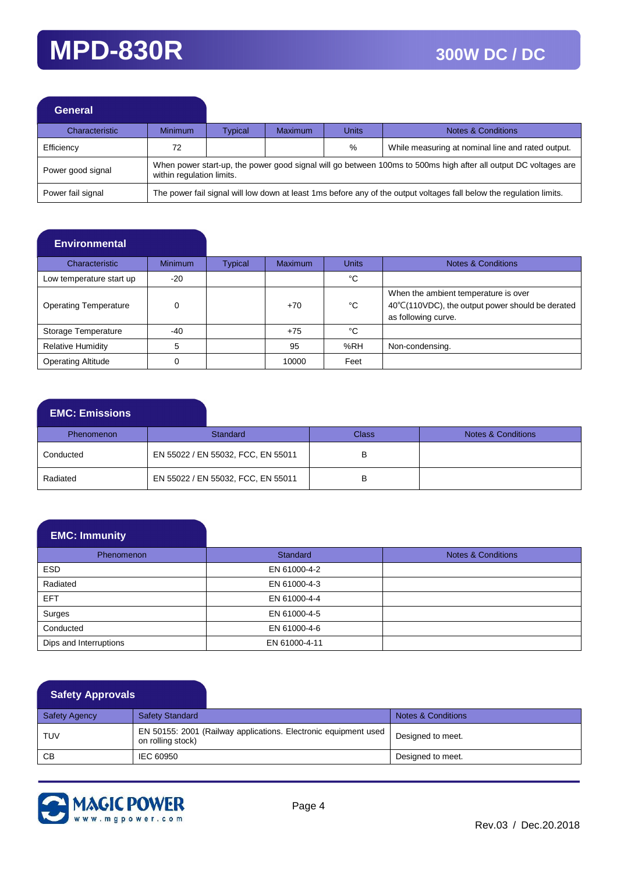| General           |                           |         |                                                                                                                 |              |                                                                                                                      |  |  |
|-------------------|---------------------------|---------|-----------------------------------------------------------------------------------------------------------------|--------------|----------------------------------------------------------------------------------------------------------------------|--|--|
| Characteristic    | <b>Minimum</b>            | Typical | <b>Maximum</b>                                                                                                  | <b>Units</b> | <b>Notes &amp; Conditions</b>                                                                                        |  |  |
| Efficiency        | 72                        |         |                                                                                                                 | %            | While measuring at nominal line and rated output.                                                                    |  |  |
| Power good signal | within regulation limits. |         | When power start-up, the power good signal will go between 100ms to 500ms high after all output DC voltages are |              |                                                                                                                      |  |  |
| Power fail signal |                           |         |                                                                                                                 |              | The power fail signal will low down at least 1ms before any of the output voltages fall below the regulation limits. |  |  |

### **Environmental**

| <b>Characteristic</b>        | <b>Minimum</b> | Typical | <b>Maximum</b> | <b>Units</b> | <b>Notes &amp; Conditions</b>                                                                                   |
|------------------------------|----------------|---------|----------------|--------------|-----------------------------------------------------------------------------------------------------------------|
| Low temperature start up     | $-20$          |         |                | °C           |                                                                                                                 |
| <b>Operating Temperature</b> | $\Omega$       |         | $+70$          | °C           | When the ambient temperature is over<br>40°C(110VDC), the output power should be derated<br>as following curve. |
| Storage Temperature          | $-40$          |         | $+75$          | °C           |                                                                                                                 |
| <b>Relative Humidity</b>     |                |         | 95             | %RH          | Non-condensing.                                                                                                 |
| <b>Operating Altitude</b>    |                |         | 10000          | Feet         |                                                                                                                 |

### **EMC: Emissions**

| <b>Phenomenon</b> | <b>Standard</b>                    | Class | Notes & Conditions |
|-------------------|------------------------------------|-------|--------------------|
| Conducted         | EN 55022 / EN 55032, FCC, EN 55011 |       |                    |
| Radiated          | EN 55022 / EN 55032, FCC, EN 55011 |       |                    |

### **EMC: Immunity**

| Phenomenon             | <b>Standard</b> | Notes & Conditions |
|------------------------|-----------------|--------------------|
| <b>ESD</b>             | EN 61000-4-2    |                    |
| Radiated               | EN 61000-4-3    |                    |
| <b>EFT</b>             | EN 61000-4-4    |                    |
| Surges                 | EN 61000-4-5    |                    |
| Conducted              | EN 61000-4-6    |                    |
| Dips and Interruptions | EN 61000-4-11   |                    |

### **Safety Approvals**

| <b>Safety Agency</b> | <b>Safety Standard</b>                                                               | Notes & Conditions |
|----------------------|--------------------------------------------------------------------------------------|--------------------|
| <b>TUV</b>           | EN 50155: 2001 (Railway applications. Electronic equipment used<br>on rolling stock) | Designed to meet.  |
| СB                   | IEC 60950                                                                            | Designed to meet.  |